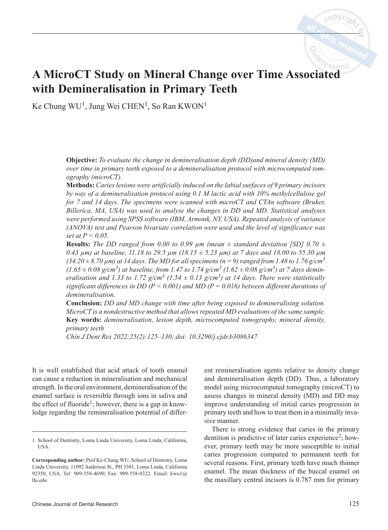# **A MicroCT Study on Mineral Change over Time Associated with Demineralisation in Primary Teeth**

Ke Chung WU<sup>1</sup>, Jung Wei CHEN<sup>1</sup>, So Ran KWON<sup>1</sup>

**Objective:** *To evaluate the change in demineralisation depth (DD)and mineral density (MD) over time in primary teeth exposed to a demineralisation protocol with microcomputed tomography (microCT).*

**Methods:** *Caries lesions were artificially induced on the labial surfaces of 9 primary incisors by way of a demineralisation protocol using 0.1 M lactic acid with 10% methylcellulose gel for 7 and 14 days. The specimens were scanned with microCT and CTAn software (Bruker, Billerica, MA, USA) was used to analyse the changes in DD and MD. Statistical analyses were performed using SPSS software (IBM, Armonk, NY, USA). Repeated analysis of variance (ANOVA) test and Pearson bivariate correlation were used and the level of significance was set at P < 0.05.*

**Results:** The DD ranged from 0.00 to 0.99  $\mu$ m (mean  $\pm$  standard deviation [SD] 0.70  $\pm$ *0.43 µm) at baseline, 11.18 to 29.5 µm (18.15 ± 5.23 µm) at 7 days and 18.00 to 55.30 µm*   $(34.20 \pm 8.70 \text{ }\mu\text{m})$  at 14 days. The MD for all specimens (n = 9) ranged from 1.48 to 1.76 g/cm<sup>3</sup>  $(1.65 \pm 0.08 \text{ g/cm}^3)$  at baseline, from 1.47 to 1.74 g/cm<sup>3</sup>  $(1.62 \pm 0.08 \text{ g/cm}^3)$  at 7 days demin*eralisation and 1.33 to 1.72*  $g/cm^3$  *(1.54*  $\pm$  *0.13*  $g/cm^3$ *) at 14 days. There were statistically significant differences in DD (P < 0.001) and MD (P = 0.016) between different durations of demineralisation.* 

**Conclusion:** *DD and MD change with time after being exposed to demineralising solution. MicroCT is a nondestructive method that allows repeated MD evaluations of the same sample.* **Key words:** *demineralisation, lesion depth, microcomputed tomography, mineral density, primary teeth*

*Chin J Dent Res 2022;25(2):125–130; doi: 10.3290/j.cjdr.b3086347*

It is well established that acid attack of tooth enamel can cause a reduction in mineralisation and mechanical strength. In the oral environment, demineralisation of the enamel surface is reversible through ions in saliva and the effect of fluoride<sup>1</sup>; however, there is a gap in knowledge regarding the remineralisation potential of differ-

ent remineralisation agents relative to density change and demineralisation depth (DD). Thus, a laboratory model using microcomputed tomography (microCT) to assess changes in mineral density (MD) and DD may improve understanding of initial caries progression in primary teeth and how to treat them in a minimally invasive manner.

There is strong evidence that caries in the primary dentition is predictive of later caries experience<sup>2</sup>; however, primary teeth may be more susceptible to initial caries progression compared to permanent teeth for several reasons. First, primary teeth have much thinner enamel. The mean thickness of the buccal enamel on the maxillary central incisors is 0.787 mm for primary

<sup>1</sup> School of Dentistry, Loma Linda University, Loma Linda, California, USA.

**Corresponding author:** Prof Ke-Chung WU, School of Dentistry, Loma Linda University, 11092 Anderson St., PH 3301, Loma Linda, California 92350, USA. Tel: 909-558-4690; Fax: 909-558-0322. Email: kwu1@ llu.edu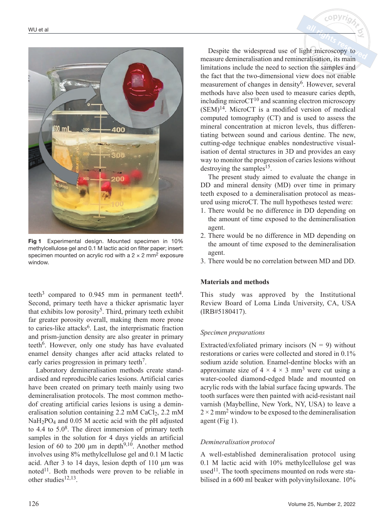

Fig 1 Experimental design. Mounted specimen in 10% methylcellulose gel and 0.1 M lactic acid on filter paper; insert: specimen mounted on acrylic rod with a  $2 \times 2$  mm<sup>2</sup> exposure window.

teeth<sup>3</sup> compared to 0.945 mm in permanent teeth<sup>4</sup>. Second, primary teeth have a thicker aprismatic layer that exhibits low porosity<sup>5</sup>. Third, primary teeth exhibit far greater porosity overall, making them more prone to caries-like attacks<sup>6</sup>. Last, the interprismatic fraction and prism-junction density are also greater in primary teeth<sup>6</sup>. However, only one study has have evaluated enamel density changes after acid attacks related to early caries progression in primary teeth<sup>7</sup>.

Laboratory demineralisation methods create standardised and reproducible caries lesions. Artificial caries have been created on primary teeth mainly using two demineralisation protocols. The most common methodof creating artificial caries lesions is using a demineralisation solution containing 2.2 mM CaCl2, 2.2 mM NaH<sub>2</sub>PO<sub>4</sub> and 0.05 M acetic acid with the pH adjusted to 4.4 to  $5.0^8$ . The direct immersion of primary teeth samples in the solution for 4 days yields an artificial lesion of 60 to 200  $\mu$ m in depth<sup>9,10</sup>. Another method involves using 8% methylcellulose gel and 0.1 M lactic acid. After 3 to 14 days, lesion depth of 110 μm was noted<sup>11</sup>. Both methods were proven to be reliable in other studies $12,13$ .

Despite the widespread use of light microscopy to measure demineralisation and remineralisation, its main limitations include the need to section the samples and the fact that the two-dimensional view does not enable measurement of changes in density $6$ . However, several methods have also been used to measure caries depth, including micro $CT^{10}$  and scanning electron microscopy (SEM)14. MicroCT is a modified version of medical computed tomography (CT) and is used to assess the mineral concentration at micron levels, thus differentiating between sound and carious dentine. The new, cutting-edge technique enables nondestructive visualisation of dental structures in 3D and provides an easy way to monitor the progression of caries lesions without destroying the samples<sup>15</sup>.

The present study aimed to evaluate the change in DD and mineral density (MD) over time in primary teeth exposed to a demineralisation protocol as measured using microCT. The null hypotheses tested were:

- 1. There would be no difference in DD depending on the amount of time exposed to the demineralisation agent.
- 2. There would be no difference in MD depending on the amount of time exposed to the demineralisation agent.
- 3. There would be no correlation between MD and DD.

# **Materials and methods**

This study was approved by the Institutional Review Board of Loma Linda University, CA, USA (IRB#5180417).

## *Specimen preparations*

Extracted/exfoliated primary incisors  $(N = 9)$  without restorations or caries were collected and stored in 0.1% sodium azide solution. Enamel-dentine blocks with an approximate size of  $4 \times 4 \times 3$  mm<sup>3</sup> were cut using a water-cooled diamond-edged blade and mounted on acrylic rods with the labial surface facing upwards. The tooth surfaces were then painted with acid-resistant nail varnish (Maybelline, New York, NY, USA) to leave a  $2 \times 2$  mm<sup>2</sup> window to be exposed to the demineralisation agent (Fig 1).

# *Demineralisation protocol*

A well-established demineralisation protocol using 0.1 M lactic acid with 10% methylcellulose gel was used<sup>11</sup>. The tooth specimens mounted on rods were stabilised in a 600 ml beaker with polyvinylsiloxane. 10%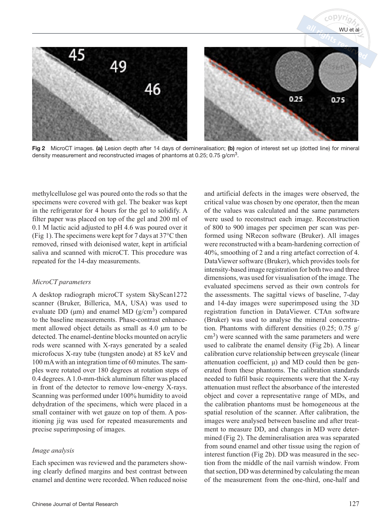

Fig 2 MicroCT images. (a) Lesion depth after 14 days of demineralisation; (b) region of interest set up (dotted line) for mineral density measurement and reconstructed images of phantoms at 0.25; 0.75 g/cm3.

methylcellulose gel was poured onto the rods so that the specimens were covered with gel. The beaker was kept in the refrigerator for 4 hours for the gel to solidify. A filter paper was placed on top of the gel and 200 ml of 0.1 M lactic acid adjusted to pH 4.6 was poured over it (Fig 1). The specimens were kept for 7 days at 37°C then removed, rinsed with deionised water, kept in artificial saliva and scanned with microCT. This procedure was repeated for the 14-day measurements.

## *MicroCT parameters*

A desktop radiograph microCT system SkyScan1272 scanner (Bruker, Billerica, MA, USA) was used to evaluate DD ( $\mu$ m) and enamel MD ( $g/cm<sup>3</sup>$ ) compared to the baseline measurements. Phase-contrast enhancement allowed object details as small as 4.0 μm to be detected. The enamel-dentine blocks mounted on acrylic rods were scanned with X-rays generated by a sealed microfocus X-ray tube (tungsten anode) at 85 keV and 100 mA with an integration time of 60 minutes. The samples were rotated over 180 degrees at rotation steps of 0.4 degrees. A 1.0-mm-thick aluminum filter was placed in front of the detector to remove low-energy X-rays. Scanning was performed under 100% humidity to avoid dehydration of the specimens, which were placed in a small container with wet gauze on top of them. A positioning jig was used for repeated measurements and precise superimposing of images.

## *Image analysis*

Each specimen was reviewed and the parameters showing clearly defined margins and best contrast between enamel and dentine were recorded. When reduced noise and artificial defects in the images were observed, the critical value was chosen by one operator, then the mean of the values was calculated and the same parameters were used to reconstruct each image. Reconstruction of 800 to 900 images per specimen per scan was performed using NRecon software (Bruker). All images were reconstructed with a beam-hardening correction of 40%, smoothing of 2 and a ring artefact correction of 4. DataViewer software (Bruker), which provides tools for intensity-based image registration for both two and three dimensions, was used for visualisation of the image. The evaluated specimens served as their own controls for the assessments. The sagittal views of baseline, 7-day and 14-day images were superimposed using the 3D registration function in DataViewer. CTAn software (Bruker) was used to analyse the mineral concentration. Phantoms with different densities (0.25; 0.75 g/  $\text{cm}^3$ ) were scanned with the same parameters and were used to calibrate the enamel density (Fig 2b). A linear calibration curve relationship between greyscale (linear attenuation coefficient, μ) and MD could then be generated from these phantoms. The calibration standards needed to fulfil basic requirements were that the X-ray attenuation must reflect the absorbance of the interested object and cover a representative range of MDs, and the calibration phantoms must be homogeneous at the spatial resolution of the scanner. After calibration, the images were analysed between baseline and after treatment to measure DD, and changes in MD were determined (Fig 2). The demineralisation area was separated from sound enamel and other tissue using the region of interest function (Fig 2b). DD was measured in the section from the middle of the nail varnish window. From that section, DD was determined by calculating the mean of the measurement from the one-third, one-half and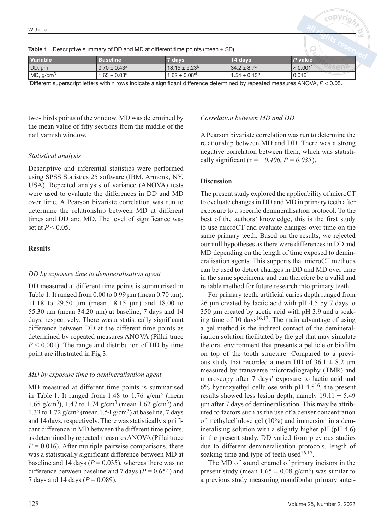|  | <b>Table 1</b> Descriptive summary of DD and MD at different time points (mean $\pm$ SD). |  |  |  |
|--|-------------------------------------------------------------------------------------------|--|--|--|
|--|-------------------------------------------------------------------------------------------|--|--|--|

| Variable              | Baseline                     | 7 davs               | <b>14 davs</b>         | P valuel |  |
|-----------------------|------------------------------|----------------------|------------------------|----------|--|
| DD, um                | $0.70 \pm 0.43$ <sup>a</sup> | $18.15 \pm 5.23^b$   | $34.2 \pm 8.7^{\circ}$ | < 0.001  |  |
| MD, q/cm <sup>3</sup> | $1.65 \pm 0.08$ a            | $1.62 \pm 0.08^{ab}$ | $1.54 \pm 0.13^b$      | 0.016    |  |

\* Different superscript letters within rows indicate a significant difference determined by repeated measures ANOVA, *P* < 0.05.

two-thirds points of the window. MD was determined by the mean value of fifty sections from the middle of the nail varnish window.

#### *Statistical analysis*

Descriptive and inferential statistics were performed using SPSS Statistics 25 software (IBM, Armonk, NY, USA). Repeated analysis of variance (ANOVA) tests were used to evaluate the differences in DD and MD over time. A Pearson bivariate correlation was run to determine the relationship between MD at different times and DD and MD. The level of significance was set at  $P < 0.05$ .

## **Results**

#### *DD by exposure time to demineralisation agent*

DD measured at different time points is summarised in Table 1. It ranged from  $0.00$  to  $0.99 \mu m$  (mean  $0.70 \mu m$ ), 11.18 to 29.50 μm (mean 18.15 μm) and 18.00 to 55.30 μm (mean 34.20 μm) at baseline, 7 days and 14 days, respectively. There was a statistically significant difference between DD at the different time points as determined by repeated measures ANOVA (Pillai trace  $P \leq 0.001$ ). The range and distribution of DD by time point are illustrated in Fig 3.

#### *MD by exposure time to demineralisation agent*

MD measured at different time points is summarised in Table 1. It ranged from 1.48 to 1.76  $g/cm<sup>3</sup>$  (mean 1.65 g/cm<sup>3</sup>), 1.47 to 1.74 g/cm<sup>3</sup> (mean 1.62 g/cm<sup>3</sup>) and 1.33 to 1.72  $g/cm<sup>3</sup>$  (mean 1.54  $g/cm<sup>3</sup>$ ) at baseline, 7 days and 14 days, respectively. There was statistically significant difference in MD between the different time points, as determined by repeated measures ANOVA (Pillai trace  $P = 0.016$ . After multiple pairwise comparisons, there was a statistically significant difference between MD at baseline and 14 days ( $P = 0.035$ ), whereas there was no difference between baseline and 7 days  $(P = 0.654)$  and 7 days and 14 days (*P* = 0.089).

## *Correlation between MD and DD*

A Pearson bivariate correlation was run to determine the relationship between MD and DD. There was a strong negative correlation between them, which was statistically significant (r *= −0.406, P = 0.035*).

### **Discussion**

The present study explored the applicability of microCT to evaluate changes in DD and MD in primary teeth after exposure to a specific demineralisation protocol. To the best of the authors' knowledge, this is the first study to use microCT and evaluate changes over time on the same primary teeth. Based on the results, we rejected our null hypotheses as there were differences in DD and MD depending on the length of time exposed to demineralisation agents. This supports that microCT methods can be used to detect changes in DD and MD over time in the same specimens, and can therefore be a valid and reliable method for future research into primary teeth.

For primary teeth, artificial caries depth ranged from 26 μm created by lactic acid with pH 4.5 by 7 days to 350 μm created by acetic acid with pH 3.9 and a soaking time of 10 days $16,17$ . The main advantage of using a gel method is the indirect contact of the demineralisation solution facilitated by the gel that may simulate the oral environment that presents a pellicle or biofilm on top of the tooth structure. Compared to a previous study that recorded a mean DD of  $36.1 \pm 8.2$  µm measured by transverse microradiography (TMR) and microscopy after 7 days' exposure to lactic acid and  $6\%$  hydroxyethyl cellulose with pH 4.5<sup>16</sup>, the present results showed less lesion depth, namely  $19.11 \pm 5.49$ μm after 7 days of demineralisation. This may be attributed to factors such as the use of a denser concentration of methylcellulose gel (10%) and immersion in a demineralising solution with a slightly higher pH (pH 4.6) in the present study. DD varied from previous studies due to different demineralisation protocols, length of soaking time and type of teeth used<sup>16,17</sup>.

The MD of sound enamel of primary incisors in the present study (mean  $1.65 \pm 0.08$  g/cm<sup>3</sup>) was similar to a previous study measuring mandibular primary anter-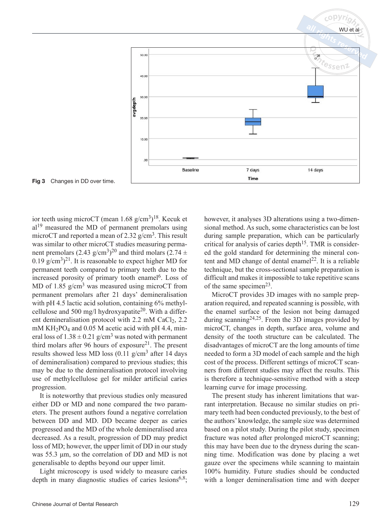

ior teeth using microCT (mean  $1.68 \text{ g/cm}^3$ )<sup>18</sup>. Kecuk et  $al<sup>19</sup>$  measured the MD of permanent premolars using microCT and reported a mean of  $2.32$  g/cm<sup>3</sup>. This result was similar to other microCT studies measuring permanent premolars (2.43 g/cm<sup>3</sup>)<sup>20</sup> and third molars (2.74  $\pm$ 0.19  $g/cm^{3}$ <sup>21</sup>. It is reasonable to expect higher MD for permanent teeth compared to primary teeth due to the increased porosity of primary tooth enamel<sup>6</sup>. Loss of MD of 1.85  $g/cm<sup>3</sup>$  was measured using microCT from permanent premolars after 21 days' demineralisation with pH 4.5 lactic acid solution, containing 6% methylcellulose and 500 mg/l hydroxyapatite<sup>20</sup>. With a different demineralisation protocol with  $2.2 \text{ mM }$  CaCl<sub>2</sub>,  $2.2 \text{ m}$ mM KH<sub>2</sub>PO<sub>4</sub> and 0.05 M acetic acid with pH 4.4, mineral loss of  $1.38 \pm 0.21$  g/cm<sup>3</sup> was noted with permanent third molars after 96 hours of exposure<sup>21</sup>. The present results showed less MD loss  $(0.11 \text{ g/cm}^3)$  after 14 days of demineralisation) compared to previous studies; this may be due to the demineralisation protocol involving use of methylcellulose gel for milder artificial caries progression.

It is noteworthy that previous studies only measured either DD or MD and none compared the two parameters. The present authors found a negative correlation between DD and MD. DD became deeper as caries progressed and the MD of the whole demineralised area decreased. As a result, progression of DD may predict loss of MD; however, the upper limit of DD in our study was 55.3 μm, so the correlation of DD and MD is not generalisable to depths beyond our upper limit.

Light microscopy is used widely to measure caries depth in many diagnostic studies of caries lesions<sup>6,8</sup>; however, it analyses 3D alterations using a two-dimensional method. As such, some characteristics can be lost during sample preparation, which can be particularly critical for analysis of caries depth<sup>15</sup>. TMR is considered the gold standard for determining the mineral content and MD change of dental enamel<sup>22</sup>. It is a reliable technique, but the cross-sectional sample preparation is difficult and makes it impossible to take repetitive scans of the same specimen<sup>23</sup>.

MicroCT provides 3D images with no sample preparation required, and repeated scanning is possible, with the enamel surface of the lesion not being damaged during scanning24,25. From the 3D images provided by microCT, changes in depth, surface area, volume and density of the tooth structure can be calculated. The disadvantages of microCT are the long amounts of time needed to form a 3D model of each sample and the high cost of the process. Different settings of microCT scanners from different studies may affect the results. This is therefore a technique-sensitive method with a steep learning curve for image processing.

The present study has inherent limitations that warrant interpretation. Because no similar studies on primary teeth had been conducted previously, to the best of the authors' knowledge, the sample size was determined based on a pilot study. During the pilot study, specimen fracture was noted after prolonged microCT scanning; this may have been due to the dryness during the scanning time. Modification was done by placing a wet gauze over the specimens while scanning to maintain 100% humidity. Future studies should be conducted with a longer demineralisation time and with deeper